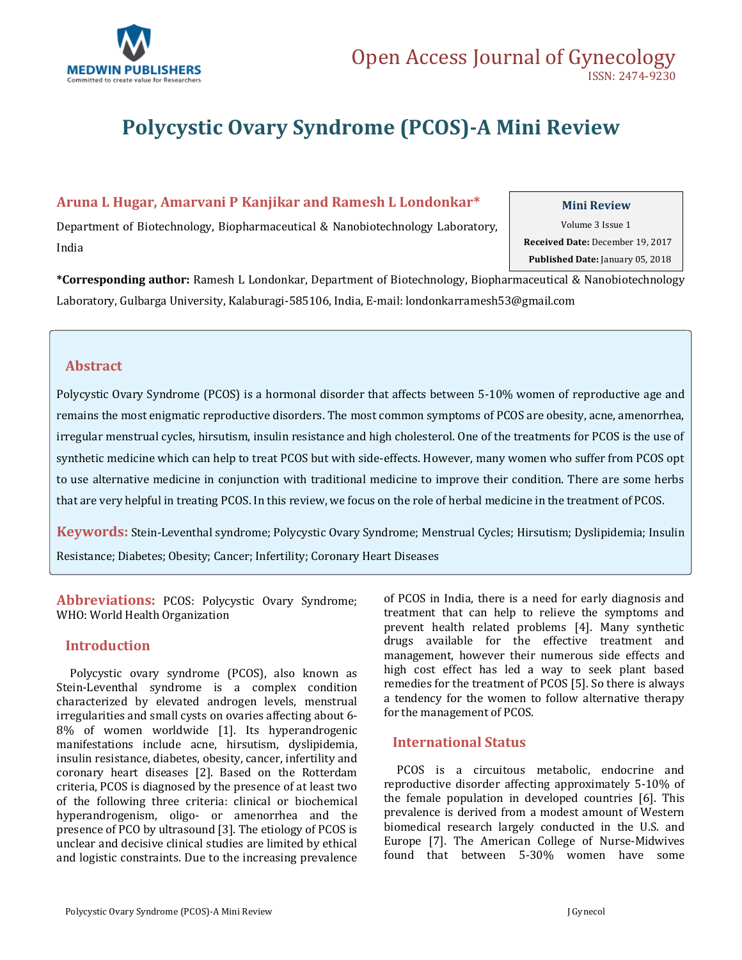

# **Polycystic Ovary Syndrome (PCOS)-A Mini Review**

## **Aruna L Hugar, Amarvani P Kanjikar and Ramesh L Londonkar\***

#### **Mini Review**

Department of Biotechnology, Biopharmaceutical & Nanobiotechnology Laboratory, India

Volume 3 Issue 1  **Received Date:** December 19, 2017  **Published Date:** January 05, 2018

**\*Corresponding author:** Ramesh L Londonkar, Department of Biotechnology, Biopharmaceutical & Nanobiotechnology Laboratory, Gulbarga University, Kalaburagi-585106, India, E-mail[: londonkarramesh53@gmail.com](mailto:londonkarramesh53@gmail.com)

## **Abstract**

Polycystic Ovary Syndrome (PCOS) is a hormonal disorder that affects between 5-10% women of reproductive age and remains the most enigmatic reproductive disorders. The most common symptoms of PCOS are obesity, acne, amenorrhea, irregular menstrual cycles, hirsutism, insulin resistance and high cholesterol. One of the treatments for PCOS is the use of synthetic medicine which can help to treat PCOS but with side-effects. However, many women who suffer from PCOS opt to use alternative medicine in conjunction with traditional medicine to improve their condition. There are some herbs that are very helpful in treating PCOS. In this review, we focus on the role of herbal medicine in the treatment of PCOS.

**Keywords:** Stein-Leventhal syndrome; Polycystic Ovary Syndrome; Menstrual Cycles; Hirsutism; Dyslipidemia; Insulin Resistance; Diabetes; Obesity; Cancer; Infertility; Coronary Heart Diseases

**Abbreviations:** PCOS: Polycystic Ovary Syndrome; WHO: World Health Organization

## **Introduction**

 Polycystic ovary syndrome (PCOS), also known as Stein-Leventhal syndrome is a complex condition characterized by elevated androgen levels, menstrual irregularities and small cysts on ovaries affecting about 6- 8% of women worldwide [1]. Its hyperandrogenic manifestations include acne, hirsutism, dyslipidemia, insulin resistance, diabetes, obesity, cancer, infertility and coronary heart diseases [2]. Based on the Rotterdam criteria, PCOS is diagnosed by the presence of at least two of the following three criteria: clinical or biochemical hyperandrogenism, oligo- or amenorrhea and the presence of PCO by ultrasound [3]. The etiology of PCOS is unclear and decisive clinical studies are limited by ethical and logistic constraints. Due to the increasing prevalence of PCOS in India, there is a need for early diagnosis and treatment that can help to relieve the symptoms and prevent health related problems [4]. Many synthetic drugs available for the effective treatment and management, however their numerous side effects and high cost effect has led a way to seek plant based remedies for the treatment of PCOS [5]. So there is always a tendency for the women to follow alternative therapy for the management of PCOS.

## **International Status**

 PCOS is a circuitous metabolic, endocrine and reproductive disorder affecting approximately 5-10% of the female population in developed countries [6]. This prevalence is derived from a modest amount of Western biomedical research largely conducted in the U.S. and Europe [7]. The American College of Nurse-Midwives found that between 5-30% women have some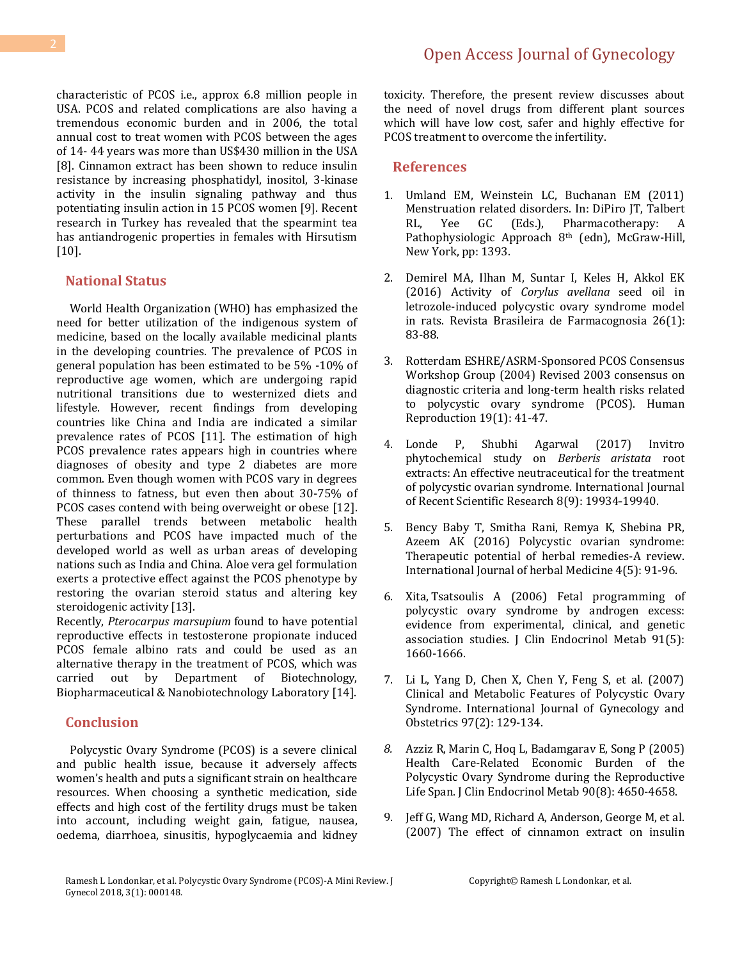characteristic of PCOS i.e., approx 6.8 million people in USA. PCOS and related complications are also having a tremendous economic burden and in 2006, the total annual cost to treat women with PCOS between the ages of 14- 44 years was more than US\$430 million in the USA [8]. Cinnamon extract has been shown to reduce insulin resistance by increasing phosphatidyl, inositol, 3-kinase activity in the insulin signaling pathway and thus potentiating insulin action in 15 PCOS women [9]. Recent research in Turkey has revealed that the spearmint tea has antiandrogenic properties in females with Hirsutism [10].

#### **National Status**

 World Health Organization (WHO) has emphasized the need for better utilization of the indigenous system of medicine, based on the locally available medicinal plants in the developing countries. The prevalence of PCOS in general population has been estimated to be 5% -10% of reproductive age women, which are undergoing rapid nutritional transitions due to westernized diets and lifestyle. However, recent findings from developing countries like China and India are indicated a similar prevalence rates of PCOS [11]. The estimation of high PCOS prevalence rates appears high in countries where diagnoses of obesity and type 2 diabetes are more common. Even though women with PCOS vary in degrees of thinness to fatness, but even then about 30-75% of PCOS cases contend with being overweight or obese [12]. These parallel trends between metabolic health perturbations and PCOS have impacted much of the developed world as well as urban areas of developing nations such as India and China. Aloe vera gel formulation exerts a protective effect against the PCOS phenotype by restoring the ovarian steroid status and altering key steroidogenic activity [13].

Recently, *Pterocarpus marsupium* found to have potential reproductive effects in testosterone propionate induced PCOS female albino rats and could be used as an alternative therapy in the treatment of PCOS, which was carried out by Department of Biotechnology, Biopharmaceutical & Nanobiotechnology Laboratory [14].

#### **Conclusion**

 Polycystic Ovary Syndrome (PCOS) is a severe clinical and public health issue, because it adversely affects women's health and puts a significant strain on healthcare resources. When choosing a synthetic medication, side effects and high cost of the fertility drugs must be taken into account, including weight gain, fatigue, nausea, oedema, diarrhoea, sinusitis, hypoglycaemia and kidney toxicity. Therefore, the present review discusses about the need of novel drugs from different plant sources which will have low cost, safer and highly effective for PCOS treatment to overcome the infertility.

#### **References**

- 1. Umland EM, Weinstein LC, Buchanan EM (2011) Menstruation related disorders. In: DiPiro JT, Talbert RL, Yee GC (Eds.), Pharmacotherapy: A Pathophysiologic Approach 8th (edn), McGraw-Hill, New York, pp: 1393.
- 2. [Demirel MA, Ilhan M, Suntar I, Keles H, Akkol EK](http://www.scielo.br/scielo.php?pid=S0102-695X2016000100083&script=sci_arttext)  [\(2016\) Activity of](http://www.scielo.br/scielo.php?pid=S0102-695X2016000100083&script=sci_arttext) *Corylus avellana* seed oil in [letrozole-induced polycystic ovary syndrome model](http://www.scielo.br/scielo.php?pid=S0102-695X2016000100083&script=sci_arttext)  [in rats. Revista Brasileira de](http://www.scielo.br/scielo.php?pid=S0102-695X2016000100083&script=sci_arttext) Farmacognosia 26(1): [83-88.](http://www.scielo.br/scielo.php?pid=S0102-695X2016000100083&script=sci_arttext)
- 3. [Rotterdam ESHRE/ASRM-Sponsored PCOS Consensus](https://academic.oup.com/humrep/article/19/1/41/690226)  [Workshop Group \(2004\) Revised 2003 consensus on](https://academic.oup.com/humrep/article/19/1/41/690226)  [diagnostic criteria and long-term health risks related](https://academic.oup.com/humrep/article/19/1/41/690226)  [to polycystic ovary syndrome \(PCOS\). Human](https://academic.oup.com/humrep/article/19/1/41/690226)  [Reproduction 19\(1\): 41-47.](https://academic.oup.com/humrep/article/19/1/41/690226)
- 4. [Londe P, Shubhi Agarwal \(2017\) Invitro](http://www.recentscientific.com/vitro-phytochemical-study-berberis-aristata-root-extracts-effective-neutraceutical-treatment-polycys)  [phytochemical study on](http://www.recentscientific.com/vitro-phytochemical-study-berberis-aristata-root-extracts-effective-neutraceutical-treatment-polycys) *Berberis aristata* root [extracts: An effective neutraceutical for the treatment](http://www.recentscientific.com/vitro-phytochemical-study-berberis-aristata-root-extracts-effective-neutraceutical-treatment-polycys)  [of polycystic ovarian syndrome. International Journal](http://www.recentscientific.com/vitro-phytochemical-study-berberis-aristata-root-extracts-effective-neutraceutical-treatment-polycys)  [of Recent Scientific Research 8\(9\): 19934-19940.](http://www.recentscientific.com/vitro-phytochemical-study-berberis-aristata-root-extracts-effective-neutraceutical-treatment-polycys)
- 5. [Bency Baby T, Smitha Rani, Remya K, Shebina PR,](http://www.florajournal.com/archives/?year=2016&vol=4&issue=5&part=B&ArticleId=315)  [Azeem AK \(2016\) Polycystic ovarian syndrome:](http://www.florajournal.com/archives/?year=2016&vol=4&issue=5&part=B&ArticleId=315)  [Therapeutic potential of herbal remedies-A review.](http://www.florajournal.com/archives/?year=2016&vol=4&issue=5&part=B&ArticleId=315)  [International Journal of herbal Medicine 4\(5\): 91-96.](http://www.florajournal.com/archives/?year=2016&vol=4&issue=5&part=B&ArticleId=315)
- 6. Xita, [Tsatsoulis A \(2006\) Fetal programming of](https://www.ncbi.nlm.nih.gov/pubmed/16522691)  [polycystic ovary syndrome by androgen excess:](https://www.ncbi.nlm.nih.gov/pubmed/16522691)  [evidence from experimental, clinical, and genetic](https://www.ncbi.nlm.nih.gov/pubmed/16522691)  [association studies. J Clin Endocrinol Metab 91\(5\):](https://www.ncbi.nlm.nih.gov/pubmed/16522691)  [1660-1666.](https://www.ncbi.nlm.nih.gov/pubmed/16522691)
- 7. [Li L, Yang D, Chen X, Chen Y, Feng S, et al. \(2007\)](http://onlinelibrary.wiley.com/doi/10.1016/j.ijgo.2007.01.005/abstract)  [Clinical and Metabolic Features of Polycystic Ovary](http://onlinelibrary.wiley.com/doi/10.1016/j.ijgo.2007.01.005/abstract)  [Syndrome. International Journal of Gynecology and](http://onlinelibrary.wiley.com/doi/10.1016/j.ijgo.2007.01.005/abstract)  [Obstetrics 97\(2\):](http://onlinelibrary.wiley.com/doi/10.1016/j.ijgo.2007.01.005/abstract) 129-134.
- *8.* [Azziz R, Marin C, Hoq L, Badamgarav E, Song P \(2005\)](https://www.ncbi.nlm.nih.gov/pubmed/15944216)  [Health Care-Related Economic Burden of the](https://www.ncbi.nlm.nih.gov/pubmed/15944216)  [Polycystic Ovary Syndrome during the Reproductive](https://www.ncbi.nlm.nih.gov/pubmed/15944216)  [Life Span. J Clin Endocrinol Metab 90\(8\):](https://www.ncbi.nlm.nih.gov/pubmed/15944216) 4650-4658.
- 9. [Jeff G, Wang MD, Richard A, Anderson, George M, et al.](https://www.ncbi.nlm.nih.gov/pubmed/17296187)  [\(2007\) The effect of cinnamon extract on insulin](https://www.ncbi.nlm.nih.gov/pubmed/17296187)